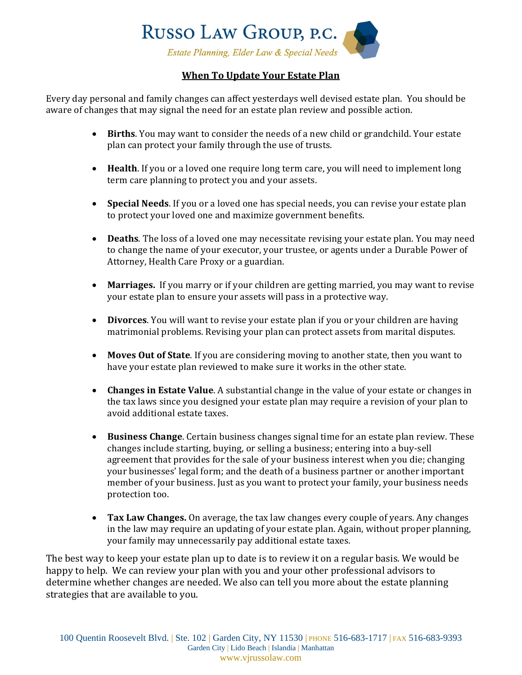

## **When To Update Your Estate Plan**

Every day personal and family changes can affect yesterdays well devised estate plan. You should be aware of changes that may signal the need for an estate plan review and possible action.

- **Births**. You may want to consider the needs of a new child or grandchild. Your estate plan can protect your family through the use of trusts.
- **Health**. If you or a loved one require long term care, you will need to implement long term care planning to protect you and your assets.
- **Special Needs**. If you or a loved one has special needs, you can revise your estate plan to protect your loved one and maximize government benefits.
- **Deaths**. The loss of a loved one may necessitate revising your estate plan. You may need to change the name of your executor, your trustee, or agents under a Durable Power of Attorney, Health Care Proxy or a guardian.
- **Marriages.** If you marry or if your children are getting married, you may want to revise your estate plan to ensure your assets will pass in a protective way.
- **Divorces**. You will want to revise your estate plan if you or your children are having matrimonial problems. Revising your plan can protect assets from marital disputes.
- **Moves Out of State**. If you are considering moving to another state, then you want to have your estate plan reviewed to make sure it works in the other state.
- **Changes in Estate Value**. A substantial change in the value of your estate or changes in the tax laws since you designed your estate plan may require a revision of your plan to avoid additional estate taxes.
- **Business Change**. Certain business changes signal time for an estate plan review. These changes include starting, buying, or selling a business; entering into a buy-sell agreement that provides for the sale of your business interest when you die; changing your businesses' legal form; and the death of a business partner or another important member of your business. Just as you want to protect your family, your business needs protection too.
- **Tax Law Changes.** On average, the tax law changes every couple of years. Any changes in the law may require an updating of your estate plan. Again, without proper planning, your family may unnecessarily pay additional estate taxes.

The best way to keep your estate plan up to date is to review it on a regular basis. We would be happy to help. We can review your plan with you and your other professional advisors to determine whether changes are needed. We also can tell you more about the estate planning strategies that are available to you.